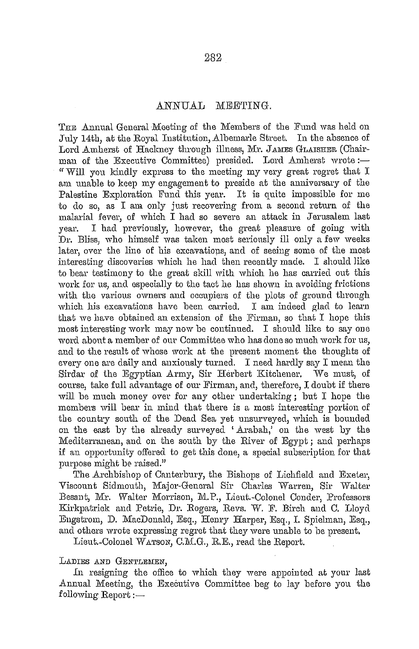## ANNUAL MEETING.

THE Annual General Meeting of the Members of the Fund was held on July 14th, at the Royal Institution, Albemarle Street. In the absence of Lord Amherst of Hackney through illness, Mr. JAMES GLAISHER (Chairman of the Executive Committee) presided. Lord Amherst wrote:-" Will you kindly express to the meeting my very great regret that I am unable to keep my engagement to preside at the anniversary of the Palestine Exploration Fund this year. It is quite impossible for me to do so, as I am only just recovering from a second return of the malarial fever, of which I had so severe an attack in Jerusalem last year. I had previously, however, the great pleasure of going with Dr. Bliss, who himself was taken most serionsly ill only a few weeks later, over the line of his excavations, and of seeing some of the most interesting discoveries which he had then recently made. I should like to bear testimony to the great skill with which he has carried out this work for us, and especially to the tact he has shown in avoiding frictions with the various owners and occupiers of the plots of ground through which his excavations have been carried. I am indeed glad to learn that we have obtained an extension of the Firman, so that I hope this most interesting work may now be continued. I should like to say one word about a member of our Committee who has done so much work for us, and to the result of whose work at the present moment the thoughts of every one are daily and anxiously turned. I need hardly say I mean the Sirclar of lhe Egyptian Army, Sir Herbert Kitchener. We must, of course, take full advantage of our Firman, and, therefore, I doubt if there will be much money over for any other undertaking; but I hope the members will bear in mind that there is a most interesting portion of the country south of the Dead Sea yet unsurveyed, which is bounded on the east by the already surveyed 'Arabah,' on the west by the Mediterranean, and on the south by the River of Egypt; and perhaps if an opportunity offered to get this clone, a special subscription for that purpose might be raised."

The Archbishop of Canterbury, the Bishops of Lichfield and Exeter, Viscount Sidmouth, Major-General Sir Charles Warren, Sir Walter Besant, Mr. Walter Morrison, M. P., Lieut.-Colonel Conder, Professors Kirkpatrick and Petrie, Dr. Rogers, Revs. W. F. Birch and C. Lloyd Engstrom, D. MacDonald, Esq., Henry Harper, Esq., I. Spiehnan, Esq., and others wrote expressing regret that they were unable to be present,

Lieut.-Colonel WATSON, C.M.G., R.E., read the Report.

## LADIES AND GENTLEMEN,

ln resigning the office to which they were appointed at your last Annual Meeting, the Executive Committee beg to lay before you the  $f$ ollowing Report : $-$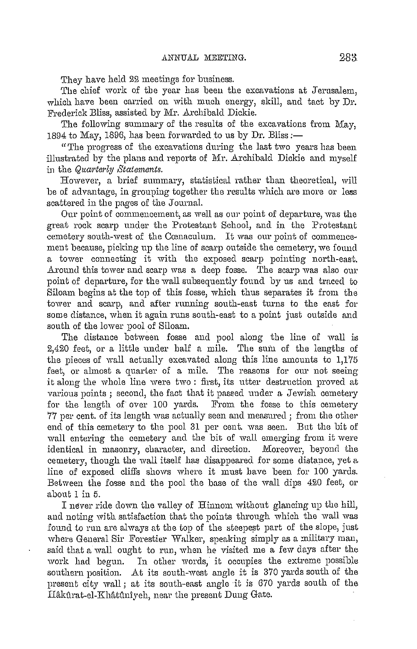They have held 22 meetings for business.

The chief work of the year has been the excavations at Jerusalem, which have been carried on with much energy, skill, and tact by Dr. Frederick Bliss, assisted by Mr. Archibald Dickie.

The following summary of the results of the excavations from May, 1894 to May, 189G, has been forwarded to us by Dr. Bliss *:-*

" The progress of the excavations during the last two years has been illustrated by the plans and reports of Mr. Archibald Dickie and myself in the *Quarterly Statements*.

However, a brief summary, statistical rather than theoretical, will be of advantage, in grouping together the results which are more or less scattered in the pages of the Journal.

Our point of commencement, as well as our point of departure, was the great rock scarp under the Protestant School, and in the Protestant cemetery south-west of the Cœnaculum. It was our point of commencement because, picking up the line of scarp outside the cemetery, we found a tower connecting it with the exposed scarp pointing north-east. Around this tower and scarp was a deep fosse. The scarp was also our point of departure, for the wall subsequently found by us and traced to Siloam begins at the top of this fosse, which thus separates it from the tower and scarp, and after running south-east turns to the east for some distance, when it again runs south-east to a point just outside and south of the lower pool of Siloam.

The distance between fosse and pool along the line of wall is 2,420 feet, or a little under half a mile. The sum of the lengths of the pieces of wall actually excavated along this line amounts to 1,175 feet, or almost a quarter of a mile. The reasons for our not seeing it along the whole line were two : first, its utter destruction proved at various points ; second, the fact that it passed under a Jewish cemetery for the length of over 100 yards. From the fosse to this cemetery 77 per cent, of its length was actually seen and measured; from the other end of this cemetery to the pool 31 per cent. was seen. But the bit of wall entering the cemetery and the bit of wall emerging from it were identical in masonry, character, and direction. Moreover, beyond the cemetery, though the wall itself has disappeared for some distance, yet a line of exposed cliffs shows where it must have been for 100 yards. Between the fosse and the pool the base of the wall dips 420 feet, or about 1 in 5.

I never ride clown the valley of Hinnom without glancing up the bill, and noting with satisfaction that the points through which the wall was found to run are always at the top of the steepest part of the slope, just where General Sir Forestier Walker, speaking simply as a military man, said that a wall ought to run, when he visited me a few days after the work had begun. In other words, it occupies the extreme possible southern position. At its south-west angle it is 370 yards south of the present city wall; at its south-east angle it is *670* yards south of the Håkûrat-el-Khâtûnîveh, near the present Dung Gate.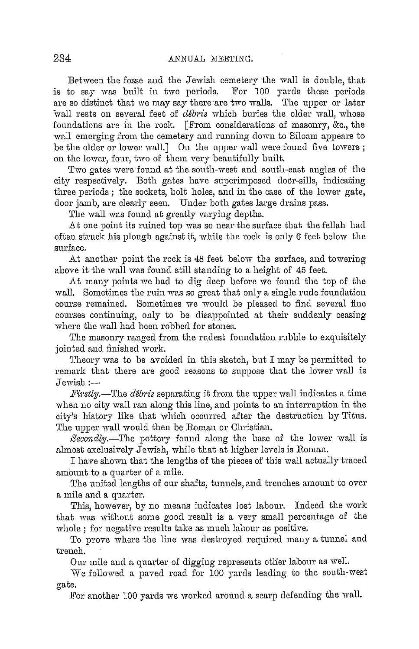Between the fosse and the Jewish cemetery the wall is double, that is to say was built in two periods. For 100 yards these periods are so distinct that we may say there are two walls. The upper or later wall rests on several feet of *debris* which buries the older wall, whose foundations are in the rock. [From considerations of masonry, &c., the wall emerging from the cemetery and running down to Siloam appears to be the older or lower wall.] On the upper wall were found five towers; on the lower, four, two of them very beautifully built.

Two gates were found at the south-west and south-east angles of the city respectively. Both gates have superimposed door-sills, indicating three periods; the sockets, bolt holes, and in the case of the lower gate, door jamb, are clearly seen. Under both gates large drains pass.

The wall was found at greatly varying depths.

At one point its ruined top was so near the surface that the fellah had often struck his plough against it, while the rock is only 6 feet below the surface.

At another point the rock is 48 feet below the surface, and towering above it the wall was found still standing to a height of 45 feet.

At many points we had to dig deep before we found the top of the wall. Sometimes the ruin was so great that only a single rude foundation course remained. Sometimes we would be pleased to find several fine courses continuing, only to be disappointed at their suddenly ceasing where the wall had been robbed for stones.

The masonry ranged from the rudest foundation rubble to exquisitely jointed and finished work.

Theory was to be avoided in this sketch, but  $I$  may be permitted to remark that there are good reasons to suppose that the lower wall is Jewish:-

*Fii-stly.-The debiis* separating it from the upper wall indicates a time when no city wall ran along this line, and points to an interruption in the city's history like that which occurred after the destruction by Titus. The upper wall would then be Roman or Christian.

*Secondly.-The* pottery found along the base of the lower wall is almost exclusively Jewish, while that at higher levels is Roman.

I have shown that the lengths of the pieces of this wall actually traced amount to a quarter of a mile.

The united lengths of our shafts, tunnels, and trenches amount to over a mile and a quarter.

This, however, by no means indicates lost labour. Indeed the work that was without some good result is a very small percentage of the whole; for negative results take as much labour as positive.

To prove where the line was destroyed required many a tunnel and trench.

Our mile and a quarter of digging represents other labour as well.

We followed a paved road for 100 yards leading to the south-west gate.

For another 100 yards we worked around a scarp defending the wall.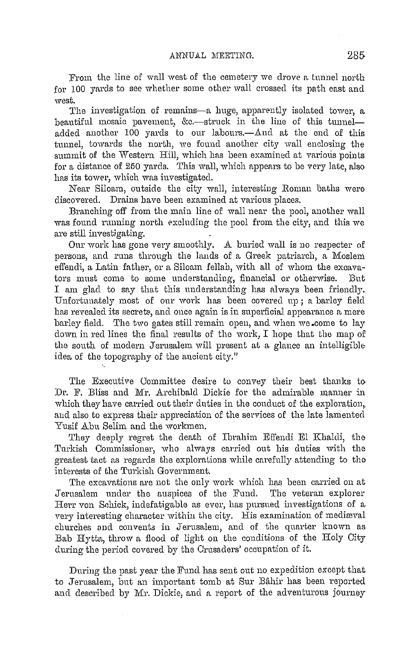From the line of wa11 west of the cemetery we drove a tunnel north for 100 yards to see whether some other wall crossed its path east and west.

The investigation of remains-a huge, apparently isolated tower, a beautiful mosaic pavement, &c.-struck in the line of this tunneladded another 100 yards to our labours.—And at the end of this tunnel, towards the north, we found another city wall enclosing the summit of the Western Hill, which has been examined at various points for a distance of 250 yards. This wall, which appears to be very late, also has its tower, which was investigated.

Near Siloam, outside the city wall, interesting Roman baths were discovered. Drains have been examined at various places.

Branching off from the main line of wall near the pool, another wall was found running north excluding the pool from the city, and this we are still investigating.

Our work has gone very smoothly. A buried wall is no respecter of persons, and runs through the lands of a Greek patriarch, a Moslem effendi, a Latin father, or a Siloam fellah, with all of whom the excavators must come to some understanding, financial or otherwise. But I am glad to say that this understanding has always been friendly. Unfortunately most of our work has been covered up; a barley field has revealed its secrets, and once again is in superficial appearance a mere barley field. The two gates still remain open, and when we.come to lay down in red lines the final results of the work, I hope that the map of the south of modern Jerusalem will present at a glance an intelligible idea of the topography of the ancient city."

The Executive Committee desire to convey their best thanks to. Dr. F. Bliss and Mr. Archibald Dickie for the admirable manner in which they have carried out their duties in the conduct of the exploration, and also to express their appreciation of the services of the late lamented Yusif Abu Selim and the workmen.

They deeply regret the death of Ibrahim Effendi El Khaldi, the Tnrkish Commissioner, who always carried out his duties with the greatest tact as regards the explorations while carefully attending to the interests of the Turkish Government.

The excavations are not the only work which has been carried on at Jerusalem under the auspices of the Fund. The veteran explorer Herr von Schick, indefatigable as ever, has pursued investigations of a very interesting character within the city. His examination of medieval churches and convents in Jerusalem, and of the quarter known as Bab Hytta, throw a flood of light on the conditions of the Holy City during the period covered by the Crusaders' occupation of it.

During the past year the Fund has sent out no expedition except that to Jerusalem, but an important tomb at Sur Bahir has been reported and described by Mr. Dickie, and a report of the adventurous journey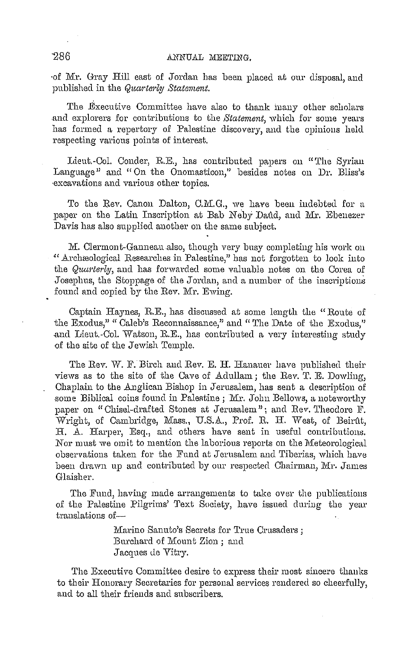·of Mr. Gray Hill east of Jordan has been placed at our disposal, and published in the *Quarterly Statement*.

The Executive Committee have also to thank many other scholars and explorers for contributions to the *Statement*, which for some years has formed a repertory of Palestine discovery, mid the opinions held respecting various points of interest.

Lieut.-Col. Conder, R.E., has contributed papers on "The Syrian Language" and "On the Onomasticon," besides notes on Dr. Bliss's ·excavations and various other topics.

To the Rev. Canon Dalton, C.M.G., we have been indebted for a paper on the Latin Inscription at Bab Neby Daud, and Mr. Ebenezer Davis has also supplied another on the same subject.

M. Clermont-Ganneau also, though very busy completing his work on "Archraological Researches in Palestine," has not forgotten to look into the *Quarterly*, and has forwarded some valuable notes on the Corea of Josephus, the Stoppage of the Jordan, and a number of the inscriptions found and copied by the Rev. Mr. Ewing.

Captain Haynes, R.E., has discussed at some length the "Route of the Exodus," " Caleb's Reconnaissance," and "The Date of the Exodus," and Lieut.-Col. Watson, R.E., has contributed a very interesting study of the site of the Jewish Temple.

The Rev. W. F. Birch and Rev. E. H. Hanauer have published their views as to the site of the Cave of Adullam; the Rev. T. E. Dowling, Chaplain to the Anglican Bishop in Jerusalem, has sent a description of some Biblical coins found in Palentine; Mr. John Bellows, a noteworthy paper on "Chisel-drafted Stones at Jerusalem"; and Rev. Theodore F. Wright, of Cambridge, Mass., U.S.A., Prof. R. H. West, of Beirût, H. A. Harper, Esq., and others have sent in useful contributions. Nor must we omit to mention the laborious reports on the Meteorological observations taken for the Fund at Jerusalem and Tiberias, which have been drawn up and contributed by our respected Chairman, Mr. James Glaisher.

The Fund, having made arrangements to take over the publications of the Palestine Pilgrims' Text Society, have issued during the year translations of-

> Marino Sanuto's Secrets for True Crusaders ; Burchard of Mount Zion; and Jacques de Vitry.

The Executive Committee desire to express their most sincere thanks to their Honorary Secretaries for personal services rendered so cheerfully, and to all their friends and subscribers.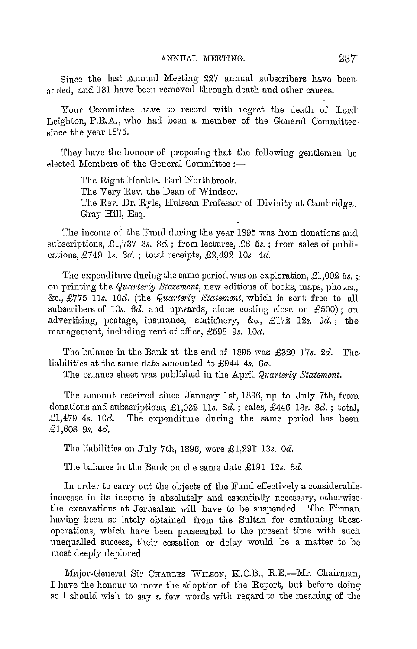Since the last Annual Meeting 227 annual subscribers have been, added, and 131 have been removed through death and other causes.

Your Committee have to record with regret the death of Lord<sup>-</sup> Leighton, P.R.A., who had been a member of the General Committeesince the year 1875.

They have the honour of proposing that the following gentlemen beelected Members of the General Committee :-

> The Right Honble. Earl Northbrook. The Very Rev. the Dean of Windsor. The Rev. Dr. Ryle, Hulsean Professor of Divinity at Cambridge. Gray Hill, Esq.

The income of the Fund during the year 1895 was from donations and subscriptions, £1,737 3s. *Bel.;* from lectures, £6 *5s.* ; from sales of publi-. cations, £748 ls. *8el.;* total receipts, £2,492 10s. *4el.* 

The expenditure during the same period was on exploration, £1,002 *5s.* ;, on printing the *Quarterly Statement*, new editions of books, maps, photos., &c., £775 l ls. *lOcl.* (the *Quai·terly Statement,* which is sent free to all subscribers of 10s.  $6d$ , and upwards, alone costing close on £500); on advertising, postage, insurance, stationery, &c., £172 12s. 9d.; the nmnagement, including rent of office, £598 *9s.* 10d.

The balance in the Bank at the end of 1895 was £320 17s. 2d. The liabilities at the same date amounted to £944 4s. 6d.

The balance sheet was published in the April *Quarterly Statement*.

The amount received since January 1st, 1896, up to July 7th, from donations and subscriptions, £1,032 11s. 2d.; sales, £446 13s. 8d.; total, £1,479 *4s. lOcl.* The expenditure during the same period has been £1,608 *9s. 4cl.* 

The liabilities on July 7th, 189G, were £1,291 13s. *0cl.* 

The balance in the Bank on the same date £191 12s. 8d.

In order to carry out the objects of the Fund effectively a considerable increase in its income is absolutely and essentially necessary, otherwise the excavations at Jerusalem will have to be suspended. The Firman having been so lately obtained from the Sultan for continuing these operations, which have been prosecuted to the present time with such nneqnallecl success, their cessation or delay would be a matter to be most deeply deplored.

Major-General Sir Charles WILSON, K.C.B., R.E.-Mr. Chairman, I have the honour to move the adoption of the Report, but before doing so I should wish to say a few words with regard to the meaning of the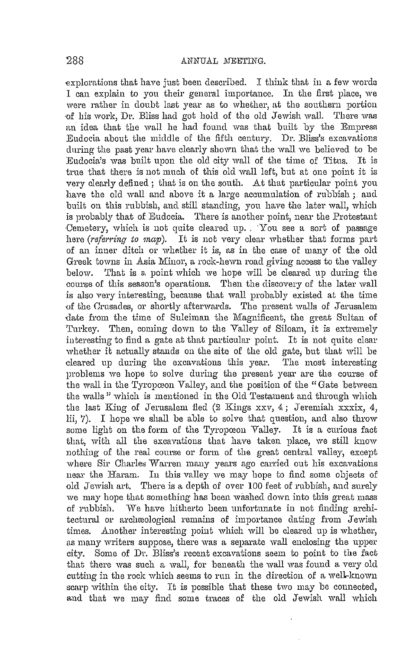explorations that have just been described. I think that in a few words I can explain to you their general importance. In the first place, we were rather in doubt last year as to whether, at the southern portion of his work, Dr. Bliss had got hold of the old Jewish wall. There was an idea that the wall he had found was that built by the Empress Eudocia about the middle of the fifth century. Dr. Bliss's excavations during the past year have clearly shown that the wall we believed to be Eudocia's was built upon the old city wall of the time of Titus. It is true that there is not much of this old wall left, but at one point it is very clearly defined ; that is on the south. At that particular point you have the old wall and above it a large accumulation of rubbish ; and built on this rubbish, and still standing, you have the later wall, which is probably that of Euclocia. There is another point, near the Protestant Cemetery, which is not quite cleared up. You see a sort of passage here *(referring to map)*. It is not very clear whether that forms part of an inner ditch or whether it is, as in the case of many of the old Greek towns in Asia Minor, a rock-hewn road giving access to the valley below. That is a point which we hope will be cleared up during the course of this season's operations. Then the discovery of the later wall is also very interesting, because that wall probably existed at the time -of the Crnsacles, or shortly afterwards. The present walls of Jerusalem date from the time of Suleiman the Magnificent, the great Sultan of Turkey. Then, coming down to the Valley of Siloam, it is extremely interesting to find a gate at that particular point. It is not quite clear whether it actually stands on the site of the old gate, but that will be cleared up during the excavations this year. The most interesting problems we hope to solve during the present year are the course of the wall in the Tyropœon Valley, and the position of the "Gate between the walls" which is mentioned in the Old Testament and through which the last King of Jerusalem fled  $(2$  Kings  $xxv, 4$ ; Jeremiah  $xxxix, 4$ , lii, 7). I hope we shall be able to solve that question, and also throw some light on the form of the Tyropœon Valley. It is a curious fact that, with all the excavations that have taken place, we still know nothing of the real course or form of the great central valley, except where Sir Charles Warren many years ago carried out his excavations near the Haram. In this valley we may hope to find some objects of old Jewish art. There is a depth of over 100 feet of rubbish, and surely we may hope that something has been washed down into this great mass of rubbish. We have hitherto been unfortunate in not finding architectural or archeological remains of importance dating from Jewish times. Another interesting point which will be cleared up is whether, as many writers suppose, there was a separate wall enclosing the upper city. Some of Dr. Bliss's recent excavations seem to point to the fact that there was such a wall, for beneath the wall was found a very old cutting in the rock which seems to run in the direction of a well-known scarp within the city. It is possible that these two may be connected, and that we may find some traces of the old Jewish wall which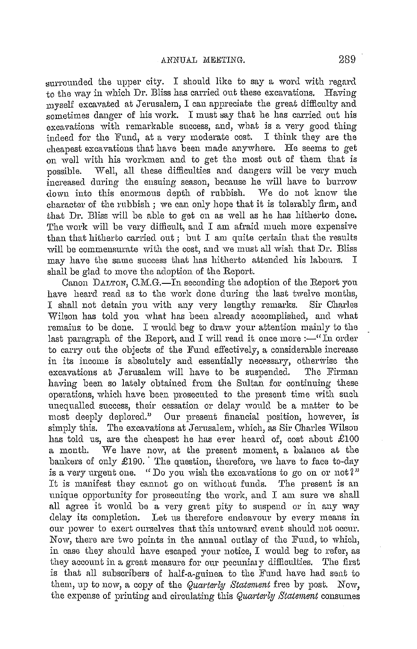surrounded the upper city. I should like to say a word with regard to the way in which Dr. Bliss has carried out these excavations. Having myself excavated at Jerusalem, I cau appreciate the great difficulty and sometimes danger of his work. I must say that he has carried out his excavations with remarkable success, and, what is a very good thing indeed for the Fund, at a very moderate cost. I think they are the cheapest excavations that have been made anywhere. He seems to get on well with his workmen and to get the most out of them that is possible. Well, all these difficulties and dangers will be very much increased during the ensuing season, because he will have to burrow down into this enormous depth of rubbish. We do not know the down into this enormous depth of rubbish. character of the rubbish ; we can only hope that it is tolerably firm, and that Dr. Bliss will be able to get on as well as he has hitherto done. The work will be very difficult, and I am afraid much more expensive than that hitherto carried out; but I am quite certain that the results will be commensurate with the cost, and we must all wish that Dr. Bliss may have the same success that has hitherto attended his labours. I shall be glad to *move* the adoption of the Report.

Canon DALTON, C.M.G.-In seconding the adoption of the Report you have heard read as to the work done during the last twelve months, I shall not detain you with any very lengthy remarks. Sir Charles Wibon has told you what has been already accomplished, and what remains to be done. I would beg to draw your attention mainly to the last paragraph of the Report, and I will read it once more  $:$  "In order to carry out the objects of the Fund effectively, a considerable increase in its income is absolutely and essentially necessary, otherwise the excavations at Jerusalem will have to be suspended. The Firman excavations at Jerusalem will have to be suspended. having been so lately obtained from the Sultan for continuing these operations, which have been prosecuted to the present time with such unequalled success, their cessation or delay would be a matter to be most deeply deplored." Our present financial position, however, is simply this. The excavations at Jerusalem, which, as Sir Charles Wilson has told us, are the cheapest he has ever heard of, cost about  $£100$ a month. We have now, at the present moment, a balance at the bankers of only £190. The question, therefore, we have to face to-day is a very urgent one. "Do you wish the excavations to go on or not *Z"*  It is manifest they cannot go on without funds. The present is an unique opportunity for prosecuting the work, and I am sure we shall all agree it would be a very great pity to suspend or in any way delay its completion. Let us therefore endeavour by every means in our power to exert ourselves that this untoward event should not occur. Now, there are two points in the annual outlay of the Fund, to which, in case they should have escaped your notice,  $I$  would beg to refer, as they account in a great measure for our pecuniary difficulties. The first is that all subscribers of half-a-guinea to the Fund have had sent to them, up to now, a copy of the *Quarterly Staternent* free by post. Now, the expense of printing and circulating this *Quarterly Statement* consumes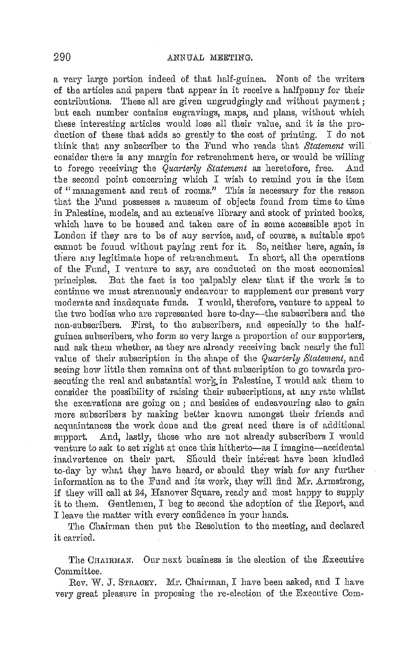a very large portion indeed of that half-guinea. None of the writers of the articles and papers that appear in it receive a halfpenny for their contributions. These all are given ungrudgingly and without payment; but each number contains engravings, maps, and plans, without which these interesting articles would lose all their Yalue, and it is the production of these that adds so greatly to the cost of printing. I do not think that any subscriber to the Fund who reads that *Statement* will consider there is any margin for retrenchment here, or would be willing to forego receiving the *Quarterly Statement* as heretofore, free. And the second point concerning which  $I$  wish to remind you is the item of "management and rent of rooms." This is necessary for the reason that the Fund possesses a museum of objects found from time to time in Palestine, models, and an extensive library and stock of printed books, which have to be housed and taken care of in some accessible spot in London if they are to be of any service, and, of course, a suitable spot cannot be found without paying rent for it. So, neither here, again, is tliere any legitimate hope of retrenchment. In short, all the operations of the Fm1d, I yenture to say, are conducted on the most economical principles. But the fact is too palpably clear that if the work is to continue we must strenuously endeavour to supplement our present very moderate and inadequate funds. I would, therefore, venture to appeal to the two bodies who are represented here to-day—the subscribers and the non-subscribers. First, to the subscribers, and especially to the halfguinea subscribers, who form so very large a proportion of our supporters, and ask-them whether, as they are already receiving back nearly the full value of their subscription in the shape of the *Quarterly Statement*, and seeing how little then remains out of that subscription to go towards prosecuting the real and substantial work in Palestine, I would ask them to consider the possibility of raising their subscriptions, at any rate whilst the excavations are going on; and besides of endeavouring also to gain more subscribers by making better known amongst their friends and acquaintances the work done and the great need there is of additional support. And, lastly, those who are not already subscribers I would venture to ask to set right at once this hitherto-as I imagine-accidental inadvertence on their part. Sliould their interest have been kindled to-day by what they have heard, or should they wish for any further information as to the Fund and its work, they will find Mr. Armstrong, if they will call at 24, Hanover Square, ready and most happy to supply it to them. Gentlemen, I beg to second the adoption of the Report, and I leave the matter with every confidence in your hands.

The Chairman then put the Resolution to the meeting, and declared it carried.

The CHAIRMAN. Our next business is the election of the Executive Committee.

Rev. W. J. STRACEY. Mr. Chairman, I have been asked, and I have very great pleasure in proposing the re-election of the Executive Com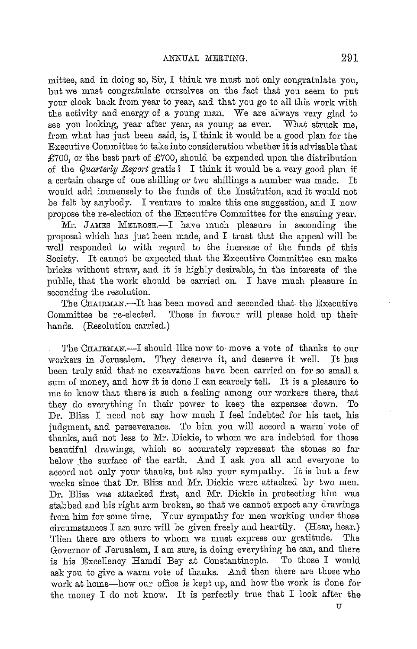mittee, and in doing so, Sir,  $I$  think we must not only congratulate you, but we must congratulate ourselves on the fact that yon seem to put your clock back from year to year, and that you go to all this work with the activity and energy of a young man. We are always very glad to see yon looking, year after year, as young as ever. What struek me, from what has just been said, is, I think it would be a good plan for the Executive Committee to take into consideration whether itis advisable that £700, or the best part of £700, should be expended upon the distribution of the *Quarterly Report* gratis? I think it would be a very good plan if a certain charge of one shilling or two shillings a number was made. It would add immensely to the funds of the Institution, and it would not be felt by anybody. I venture to make this one suggestion, and I now propose the re-election of the Executive Committee for the ensuing year.

Mr. JAMES MELROSE.-1 have much pleasure in seconding the proposal which has just been made, and I trust that the appeal will be well responded to with regard to the increase of the funds pf this Society. It cannot be expected that the Executive Committee can make bricks without straw, and it is highly desirable, in the interests of the public, that the work should be carried on. I have much pleasure in seconding the resolution.

The CHAIRMAN.-It has been moved and seconded that the Executive Committee be re-elected. Those in favour will please hold up their hands. (Resolution carried.)

The CHAIRMAN.—I should like now to move a vote of thanks to our workers in Jerusalem. They deserve it, and deserve it well. It has been truly said that no excavations have been carried on for so small a sum of money, and how it is done I can scarcely tell. It is a pleasure to me to know that there is such a feeling among our workers there, that they do everything in their power to keep the expenses clown. To Dr. Bliss I need not say how much I feel indebted for his tact, his judgment, and perseverance. To him you will accord a warm vote of thanks, and not less to Mr. Dickie, to whom we are indebted for those beautiful drawings, which so accurately represent the stones so far below the surface of the earth. And I ask you all and everyone to accord not only your thanks, but also your sympathy. It is but a few weeks since that Dr. Bliss and Mr. Dickie were attacked by two men. Dr. Bliss was attacked first, and Mr. Dickie in protecting him was stabbed and his right arm broken, so that we cannot expect any drawings from him for some time. Your sympathy for men working under those  $circumstances$  I am sure will be given freely and heartily. (Hear, hear.) THen there are others to whom we must express our gratitude. The Governor of Jerusalem, I am sure, is doing everything he can, and there is his Excellency Hamdi Bey at Constantinople. To those I would ask yon to give a warm vote of thanks. And then there are those who work at home-how our office is kept up, and how the work is done for the money I do not know. It is perfectly true that I look after the

TT.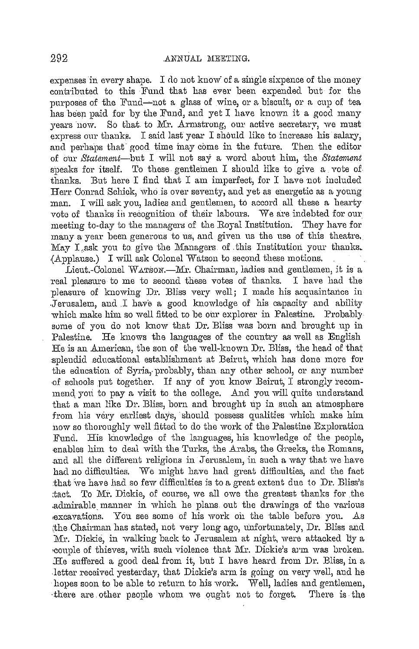expenses in every shape. I do not know of a single sixpence of the money contributed to this Fund that has ever been expended but for the purposes of the Fund—not a glass of wine, or a biscuit, or a cup of tea has been paid for by the Fund, and yet I have known it a good many years now. So that to Mr. Armstrong, our active secretary, we must express our thanks. I said last year I should like to increase his salary, and perhaps that good time may come in the future. Then the editor of our *Statement-but* I will not say a word about him, the *Statmnent*  speaks for itself. To these gentlemen I should like to give a vote of thanks. But here I find that I am imperfect, for I have not included Herr Conrad Schick, who is over seventy, and yet as energetic as a young man. I will ask you, ladies and gentlemen, to accord all these a hearty vote of thanks in recognition of their labours. We are indebted for our. meeting to-day to the managers of the Royal Institution. They have for many a year been generous to us, and given us the use of this theatre. May I ask you to give the Managers of this Institution your thanks. ,(Applause.) I will ask Colonel Watson to second these motions.

Lieut.-Colonel WATSON.-Mr. Chairman, ladies and gentlemen, it is a real pleasure to me to second these votes of thanks. I have had the pleasure of knowing Dr. Bliss very well; I made his acquaintance in Jerusalem, and I have a good knowledge of his capacity and ability which make him so well fitted to be our explorer in Palestine. Probably some of you do not know that Dr. Bliss was born and brought up in Palestine. He knows the languages of the country as well as English He is an American, the son of the well-known Dr. Bliss, the head of that splendid educational establishment at Beirut, which has done more for the education of Syria, probably, than any other school, or any number of schools put together. If any of you know Beirut, I strongly recommend you to pay a visit to the college. And you will quite understand that a man like Dr. Bliss, born and brought up in such an atmosphere from his very earliest days, should possess qualities which make him now so thoroughly well fitted to do the work of the Palestine Exploration Fund. His knowledge of the languages, his knowledge of the people, enables him to deal with the Tnrks, the Arabs, the Greeks, the Romans, .and all the different religions in Jerusalem, in such a way that we have had no difficulties. We might have had great difficulties, and the fact that we have had so few difficulties is to a great extent due to Dr. Bliss's tact. To Mr. Dickie, of course, we all owe the greatest thanks for the .admirable manner in which he plans out the drawings of the various ,excavations. You see some of his work oi1 the table before you. As ~he Chairman has stated, not very long ago, 1mfortunately, Dr. Bliss and Mr. Dickie, in walking back to Jerusalem at night, were attacked by a •con1Jle of thieves, with such violence that Mr. Dickie's ai·m was broken. :He suffered a good deal from it, lmt I have heard from Dr. Bliss, in a .letter received yesterday, that Dickie's arm is going on very well, and he hopes soon to be able to return to his work. Well, ladies and gentlemen, ·there are other people whom we ought not to forget. There is the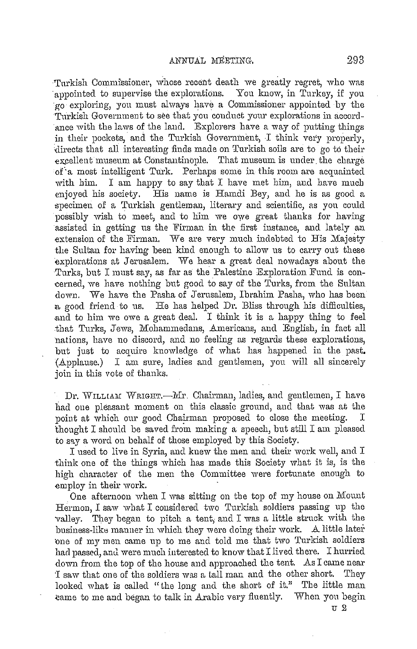Turkish Commissioner, whose recent death we greatly regret, who was appointed to supervise the explorations. You know, in Turkey, if you ·go exploring, yon must always have a Commissioner appointed by the Turkish Government to see that you conduct your explorations in accordance with the laws of the laud. Explorers have a way of putting things in their pockets, and the Turkish Government, I think very properly, •directs that all interesting finds made on Turkish soils are to go to their excellent museum at Constantinople. That museum is under the charge of a most intelligent Turk. Perhaps some in this room are acquainted with him. I am happy to say that I have met him, and have much enjoyed his society. His name is Hamdi Bey, and he is as good a specimen of a Turkish gentleman, literary and scientific, as yon could possibly wish to meet, and to him we owe great thanks for having assisted in getting us the Firman in the first instance, and lately an extension of the Firman. We are very much indebted to His Majesty the Sultan for having been kind enough to allow us to carry out these explorations at Jerusalem. We hear a great deal nowadays about the Turks, but I must say, as far as the Palestine Exploration Fund is concerned, we have nothing but good to say of the Turks, from the Sultan down. We have the Pasha of Jerusalem, Ibrahim Pasha, who has been a good friend· to us. He has helped Dr. Bliss through his difficulties, .and to him we owe a great deal. I think it is a happy thing to feel .that Turks, Jews, Mohammedans, Americans, and English, in fact all nations, have no discord, and no feeling as regards these explorations, but just to acquire knowledge of what has happened in the past. (Applause.) I am sure, ladies and gentlemen, you will all sincerely join in this vote of thanks.

Dr. WILLIAM WRIGHT.—Mr. Chairman, ladies, and gentlemen, I have had one pleasant moment on this classic ground, and that was at the point at which our good Chairman proposed to close the meeting. I thought I should be saved from making a speech, but still I am pleased to say a word on behalf of those employed by this Society.

I used to live in Syria, and knew the men and their work well, and I think one of the things which has made this Society what it is, is the high character of the men the Committee were fortunate enough to employ in their work.

One afternoon when I was sitting on the top of my house on  $M$ ount Hermon, I saw what I considered two Turkish soldiers passing up the valley. They began to pitch a tent, and I was a little strnck with the business-like manner in which they were doing their work. A little later ·one of my men came up to me and told me that two Turkish soldiers had passed, and were much interested to know that I lived there. I hurried down from the top of the house and approached the tent. As I came near I saw that one of the soldiers was a tall man and the other short. They looked what is called "the long and the short of it." The little man came to me and began to talk in Arabic very fluently. When you begin

U2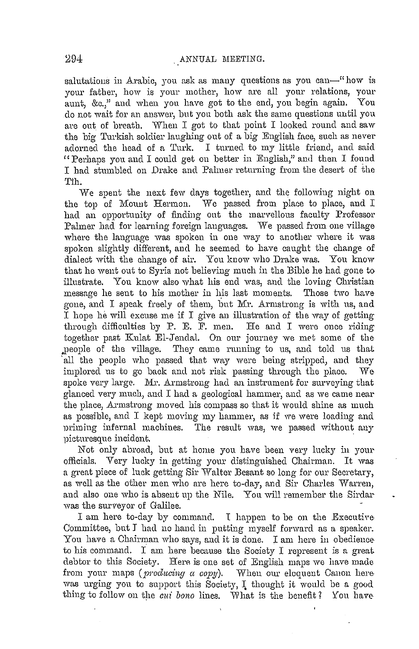salutations in Arabic, you ask as many questions as you can-"how is your father, how is your mother, how are all your relations, your aunt, &c.," and when you have got to the end, you begin again. You do not wait for an answer, but you both ask the same questions until you are out of breath. When I got to that point I looked round and saw the big Turkish soldier laughing out of a big English face, such as never adorned the head of a Turk. I turned to my little friend, and said " Perhaps you and I could get on better in English," and then I found I had stumbled on Drake and Palmer returning from the desert of the Tih.

We spent the next few days together, and the following night on the top of Mount Hermon. We passed from place to place, and I had an opportunity of finding out the marvellous faculty Professor Palmer had for learning foreign languages. We passed from one village where the language was spoken in one way to another where it was spoken slightly different, and he seemed to have caught the change of dialect with the change of air. You know who Drake was. You know that he went out to Syria not believing much in the Bible he hacl gone to illustrate. You know also what his end was, and the loving Christian message he sent to his mother in his last moments. Those two have gone, and I speak freely of them, but Mr. Armstrong is with us, and I hope he will excuse me if I give an illustration of the way of getting through difficulties by P. E. F. men. He and I were once riding together past Kulat El-Jendal. On our journey we met some of the people of the village. They came running to us, and told us that all the people who passed that way were being stripped, and they implored us to go back and not risk passing through the place. We spoke very large. Mr. Armstrong had an instrument for surveying that glanced very much, and I had a geological hammer, and as we came near the place, Armstrong moved his compass so that it would shine as much as possible, and I kept moving my hammer, as if we were loading and priming infernal machines. The result was, we passed without any picturesque incident.

Not only abroad, but at home you have been very lucky iu your officials. Very lucky in getting your distinguished Chairman. It was a great piece of luck getting Sir Walter Besant so long for our Secretary, as well as the other men who are here to-day, and Sir Charles Warren, and also one who is absent up the Nile. You will remember the Sirdar was the surveyor of Galilee.

I am here to-day by command. I happen to be on the Executive-Committee, but *I* had no hand in putting myself forward as a speaker. You have a Chairman who says, and it is done. I am here in obedienceto his command. I am here because the Society I represent is a great debtor to this Society. Here is one set of English maps we have made from your maps (*producing a copy*). When our eloquent Canon here was urging you to support this Society, I thought it would be a good thing to follow on the *cui bono* lines. What is the benefit? You have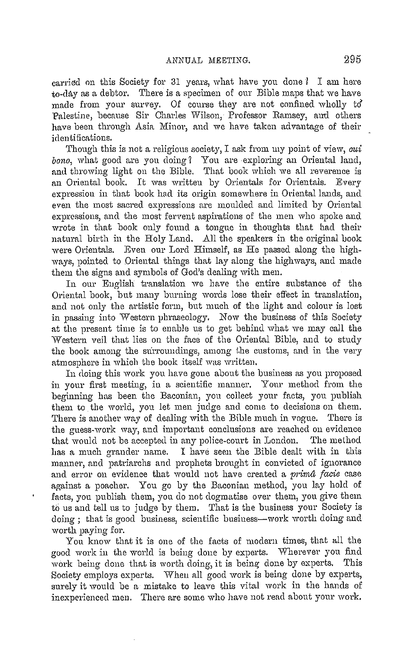carried on this Society for 31 years, what have you done *I* I am here to-clay as a debtor. There is a specimen of our Bible maps that we have made from your survey. Of course they are not confined wholly to' Palestine, because Sir Charles Wilson, Professor Ramsey, aml others have been through Asia Minor, and we have taken advantage of their identifications.

Though this is not a religious society, I ask from my point of view, *aui bono*, what good are you doing? You are exploring an Oriental land, and throwing light on the Bible. That book which we all reverence is an Oriental book. It was written by Orientals for Orientals. Every expression in that book had its origin somewhere in Oriental lands, and even the most sacred expressions are moulded and limited by Oriental expressions, and the most fervent aspirations of the men who spoke and wrote in that book only found a tongue in thoughts that had their natural birth in the Roly Land. All the speakers in the original book were Orientals. Even our Lord Himself, as He passed along the highways, pointed to Oriental things that lay along the highways, and made them the signs and symbols of God's dealing with men.

In our Euglish translation we have the entire substance of the Oriental book, but many burning words lose their effect in translation, and not only the artistic form, but much of the light and colour is lost in passing into Western phraseology. Now the business of this Society at the present time is to enable us to get behind what we may call the Western veil that lies on the face of the Oriental Bible, and to study the book among the surroundings, among the customs, and in the very atmosphere in which the book itself was written.

In doing this work you have gone about the business as you proposed in your first meeting, in a scientific manner, Your method from the beginning has been the Baconian, you collect your facts, you publish them to the world, you let men judge and come to decisions on them. There is another way of dealing with the Bible much in vogue. There is the guess-work way, and important conclusions are reached on evidence that would not be accepted in any police-court in London. The method has a much grander name. I have seen the Bible dealt with in this manner, and patriarchs and prophets brought in convicted of ignorance and error on evidence that would not have created a prirna *facie* case against a poacher. You go by the Baconian method, yon lay hold of facts, you publish them, yon do not dogmatise over them, you give them to us and tell us to judge by them, That is the business your Society is doing ; that is good business, scientific business-work worth doing and worth paying for.

You know that it is one of the facts of modern times, that all the good work in the world is being done by experts. Wherever you find work being done that is worth doing, it is being done by experts. This Society employs experts. When all good work is being done by experts, surely it would be a mistake to leave this vital work in the hands of inexperienced men, There are some who have not read about your work.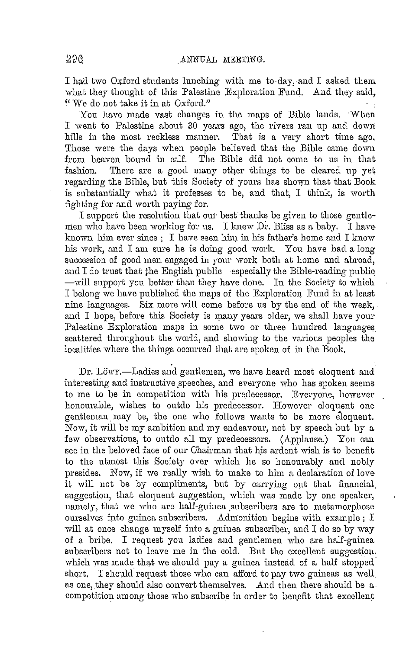I had two Oxford students lunching with me to-day, and I asked them what they thought of this Palestine Exploration Fund. And they said, "We do not take it in at Oxford."

You have made vast changes in the maps of Bible lands. When I went to Palestine about 30 years ago, the rivers ran up and clown hills in the most reckless manner. That is a very short time ago. Those were the days when people believed that the Bible came down from heaven bound in calf. The Bible did not come to us in that fashion. There are a good many other things to be cleared up yet regarding the Bible, but this Society of yours has shown that that Book is substantially what it professes to be, and that, I think, is worth fighting for and worth paying for.

I support the resolution that our best thanks be given to those gentlemen who have been working for us. I knew Dr. Bliss as a baby. I have known him ever since ; I have seen him in his father's home and I know his work, and I am sure he is doing good work. You have had a long succession of good men engaged in your work both at home and abroad, and I do trust that the English public-especially the Bible-reading public -will support you better than they have done. In the Society to which I belong we have published the maps of the Exploration Fund in at least nine languages. Six more will come before us by the end of the week, and I hope, before this Society is many years older, we shall have your Palestine Exploration maps in some two or three hundred languages scattered throughout the world, and showing to the various peoples the localities where the things occurred that are spoken of in the Book.

Dr. Löwy.-Ladies and gentlemen, we have heard most eloquent and interesting and instructive speeches, and everyone who has spoken seems to me to be in competition with his predecessor. Everyone, however honourable, wishes to outdo his predecessor. However eloquent one gentleman may be, the one who follows wants to be more eioquent, Now, it will be my ambition and my endeavour, not by speech but by a few observations, to outdo all my predecessors. (Applause.) You can see in the beloved face of our Chairman that his ardent wish is to benefit to the utmost this Society over which he so honourably and nobly presides. Now, if we really wish to make to him a declaration of love it will uot be by compliments, but by carrying out that financial, suggestion, that eloquent suggestion, which was made by one speaker, namely, that we who are half-guinea subscribers are to metamorphose ourselves into guinea subscribers. Admonition begins with example; I will at once change myself into a guinea subscriber, and I do so by way of a bribe. I request you ladies and gentlemen who are half-guinea subscribers not to leave me in the cold. But the excellent suggestion. which was made that we should pay a guinea instead of a half stopped short. I should request those who can afford to pay two guineas as well as one, they should also convert themselves. And then there should be a competition among those who subscribe in order to benefit that excellent